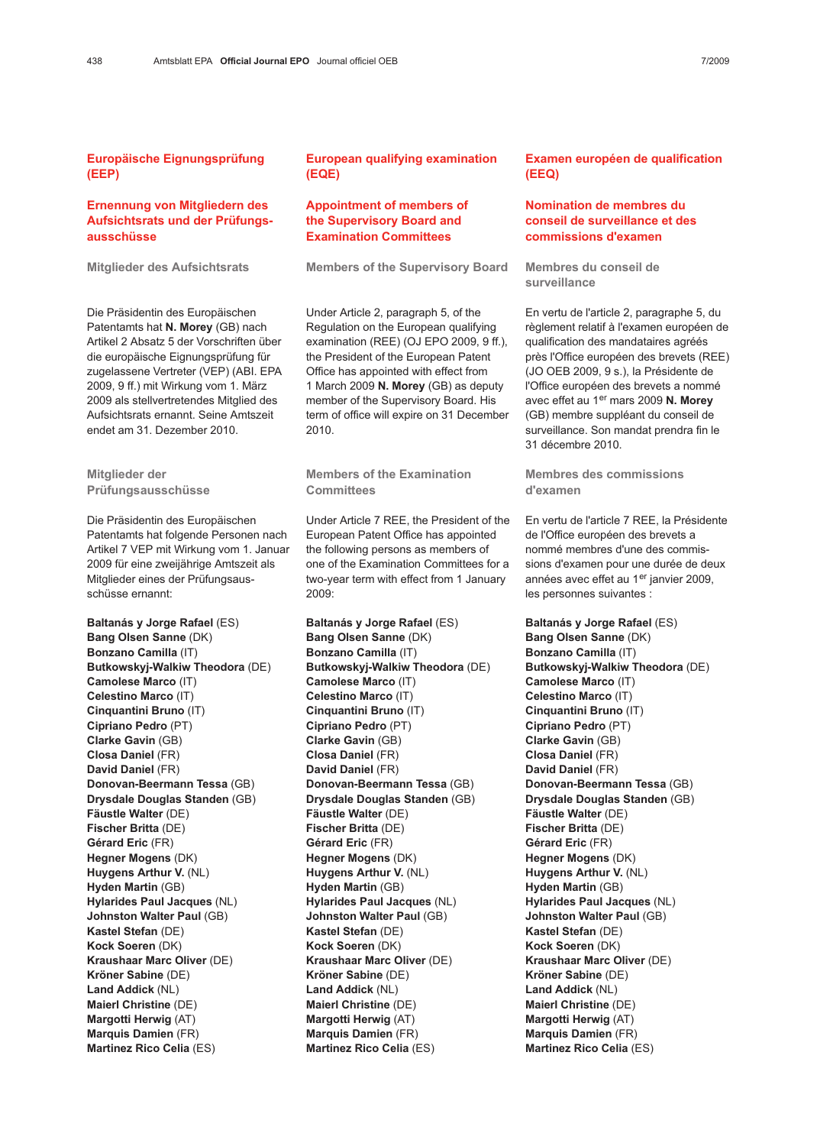### Ernennung von Mitgliedern des Aufsichtsrats und der Prüfungsausschüsse

Mitglieder des Aufsichtsrats

Die Präsidentin des Europäischen Patentamts hat N. Morey (GB) nach Artikel 2 Absatz 5 der Vorschriften über die europäische Eignungsprüfung für zugelassene Vertreter (VEP) (ABI. EPA 2009, 9 ff.) mit Wirkung vom 1. März 2009 als stellvertretendes Mitglied des Aufsichtsrats ernannt. Seine Amtszeit endet am 31. Dezember 2010.

Mitglieder der Prüfungsausschüsse

Die Präsidentin des Europäischen Patentamts hat folgende Personen nach Artikel 7 VEP mit Wirkung vom 1. Januar 2009 für eine zweijährige Amtszeit als Mitglieder eines der Prüfungsausschüsse ernannt:

Baltanás y Jorge Rafael (ES) Bang Olsen Sanne (DK) Bonzano Camilla (IT) Butkowskyj-Walkiw Theodora (DE) Camolese Marco (IT) Celestino Marco (IT) Cinquantini Bruno (IT) Cipriano Pedro (PT) Clarke Gavin (GB) Closa Daniel (FR) David Daniel (FR) Donovan-Beermann Tessa (GB) Drysdale Douglas Standen (GB) Fäustle Walter (DE) Fischer Britta (DE) Gérard Eric (FR) Hegner Mogens (DK) Huygens Arthur V. (NL) Hyden Martin (GB) Hylarides Paul Jacques (NL) Johnston Walter Paul (GB) Kastel Stefan (DE) Kock Soeren (DK) Kraushaar Marc Oliver (DE) Kröner Sabine (DE) Land Addick (NL) Maierl Christine (DE) Margotti Herwig (AT) Marquis Damien (FR) Martinez Rico Celia (ES)

## European qualifying examination (EQE)

#### Appointment of members of the Supervisory Board and Examination Committees

Members of the Supervisory Board

Under Article 2, paragraph 5, of the Regulation on the European qualifying examination (REE) (OJ EPO 2009, 9 ff.), the President of the European Patent Office has appointed with effect from 1 March 2009 N. Morey (GB) as deputy member of the Supervisory Board. His term of office will expire on 31 December 2010.

Members of the Examination **Committees** 

Under Article 7 REE, the President of the European Patent Office has appointed the following persons as members of one of the Examination Committees for a two-year term with effect from 1 January 2009:

Baltanás y Jorge Rafael (ES) Bang Olsen Sanne (DK) Bonzano Camilla (IT) Butkowskyj-Walkiw Theodora (DE) Camolese Marco (IT) Celestino Marco (IT) Cinquantini Bruno (IT) Cipriano Pedro (PT) Clarke Gavin (GB) Closa Daniel (FR) David Daniel (FR) Donovan-Beermann Tessa (GB) Drysdale Douglas Standen (GB) Fäustle Walter (DE) Fischer Britta (DE) Gérard Eric (FR) Hegner Mogens (DK) Huygens Arthur V. (NL) Hyden Martin (GB) Hylarides Paul Jacques (NL) Johnston Walter Paul (GB) Kastel Stefan (DE) Kock Soeren (DK) Kraushaar Marc Oliver (DE) Kröner Sabine (DE) Land Addick (NL) Maierl Christine (DE) Margotti Herwig (AT) Marquis Damien (FR) Martinez Rico Celia (ES)

#### Examen européen de qualification (EEQ)

# Nomination de membres du conseil de surveillance et des commissions d'examen

Membres du conseil de surveillance

En vertu de l'article 2, paragraphe 5, du règlement relatif à l'examen européen de qualification des mandataires agréés près l'Office européen des brevets (REE) (JO OEB 2009, 9 s.), la Présidente de l'Office européen des brevets a nommé avec effet au 1er mars 2009 N. Morey (GB) membre suppléant du conseil de surveillance. Son mandat prendra fin le 31 décembre 2010.

Membres des commissions d'examen

En vertu de l'article 7 REE, la Présidente de l'Office européen des brevets a nommé membres d'une des commissions d'examen pour une durée de deux années avec effet au 1er janvier 2009, les personnes suivantes :

Baltanás y Jorge Rafael (ES) Bang Olsen Sanne (DK) Bonzano Camilla (IT) Butkowskyj-Walkiw Theodora (DE) Camolese Marco (IT) Celestino Marco (IT) Cinquantini Bruno (IT) Cipriano Pedro (PT) Clarke Gavin (GB) Closa Daniel (FR) David Daniel (FR) Donovan-Beermann Tessa (GB) Drysdale Douglas Standen (GB) Fäustle Walter (DE) Fischer Britta (DE) Gérard Eric (FR) Hegner Mogens (DK) Huygens Arthur V. (NL) Hyden Martin (GB) Hylarides Paul Jacques (NL) Johnston Walter Paul (GB) Kastel Stefan (DE) Kock Soeren (DK) Kraushaar Marc Oliver (DE) Kröner Sabine (DE) Land Addick (NL) Maierl Christine (DE) Margotti Herwig (AT) Marquis Damien (FR) Martinez Rico Celia (ES)